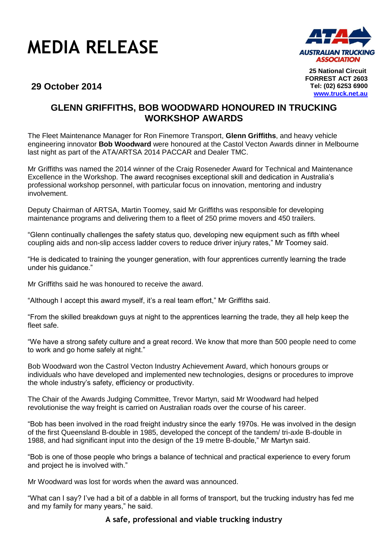## **MEDIA RELEASE**



**25 National Circuit FORREST ACT 2603 Tel: (02) 6253 6900 www.truck.net.au**

## **29 October 2014**

## **GLENN GRIFFITHS, BOB WOODWARD HONOURED IN TRUCKING WORKSHOP AWARDS**

The Fleet Maintenance Manager for Ron Finemore Transport, **Glenn Griffiths**, and heavy vehicle engineering innovator **Bob Woodward** were honoured at the Castol Vecton Awards dinner in Melbourne last night as part of the ATA/ARTSA 2014 PACCAR and Dealer TMC.

Mr Griffiths was named the 2014 winner of the Craig Roseneder Award for Technical and Maintenance Excellence in the Workshop. The award recognises exceptional skill and dedication in Australia's professional workshop personnel, with particular focus on innovation, mentoring and industry involvement.

Deputy Chairman of ARTSA, Martin Toomey, said Mr Griffiths was responsible for developing maintenance programs and delivering them to a fleet of 250 prime movers and 450 trailers.

"Glenn continually challenges the safety status quo, developing new equipment such as fifth wheel coupling aids and non-slip access ladder covers to reduce driver injury rates," Mr Toomey said.

"He is dedicated to training the younger generation, with four apprentices currently learning the trade under his guidance."

Mr Griffiths said he was honoured to receive the award.

"Although I accept this award myself, it's a real team effort," Mr Griffiths said.

"From the skilled breakdown guys at night to the apprentices learning the trade, they all help keep the fleet safe.

"We have a strong safety culture and a great record. We know that more than 500 people need to come to work and go home safely at night."

Bob Woodward won the Castrol Vecton Industry Achievement Award, which honours groups or individuals who have developed and implemented new technologies, designs or procedures to improve the whole industry's safety, efficiency or productivity.

The Chair of the Awards Judging Committee, Trevor Martyn, said Mr Woodward had helped revolutionise the way freight is carried on Australian roads over the course of his career.

"Bob has been involved in the road freight industry since the early 1970s. He was involved in the design of the first Queensland B-double in 1985, developed the concept of the tandem/ tri-axle B-double in 1988, and had significant input into the design of the 19 metre B-double," Mr Martyn said.

"Bob is one of those people who brings a balance of technical and practical experience to every forum and project he is involved with."

Mr Woodward was lost for words when the award was announced.

"What can I say? I've had a bit of a dabble in all forms of transport, but the trucking industry has fed me and my family for many years," he said.

## **A safe, professional and viable trucking industry**